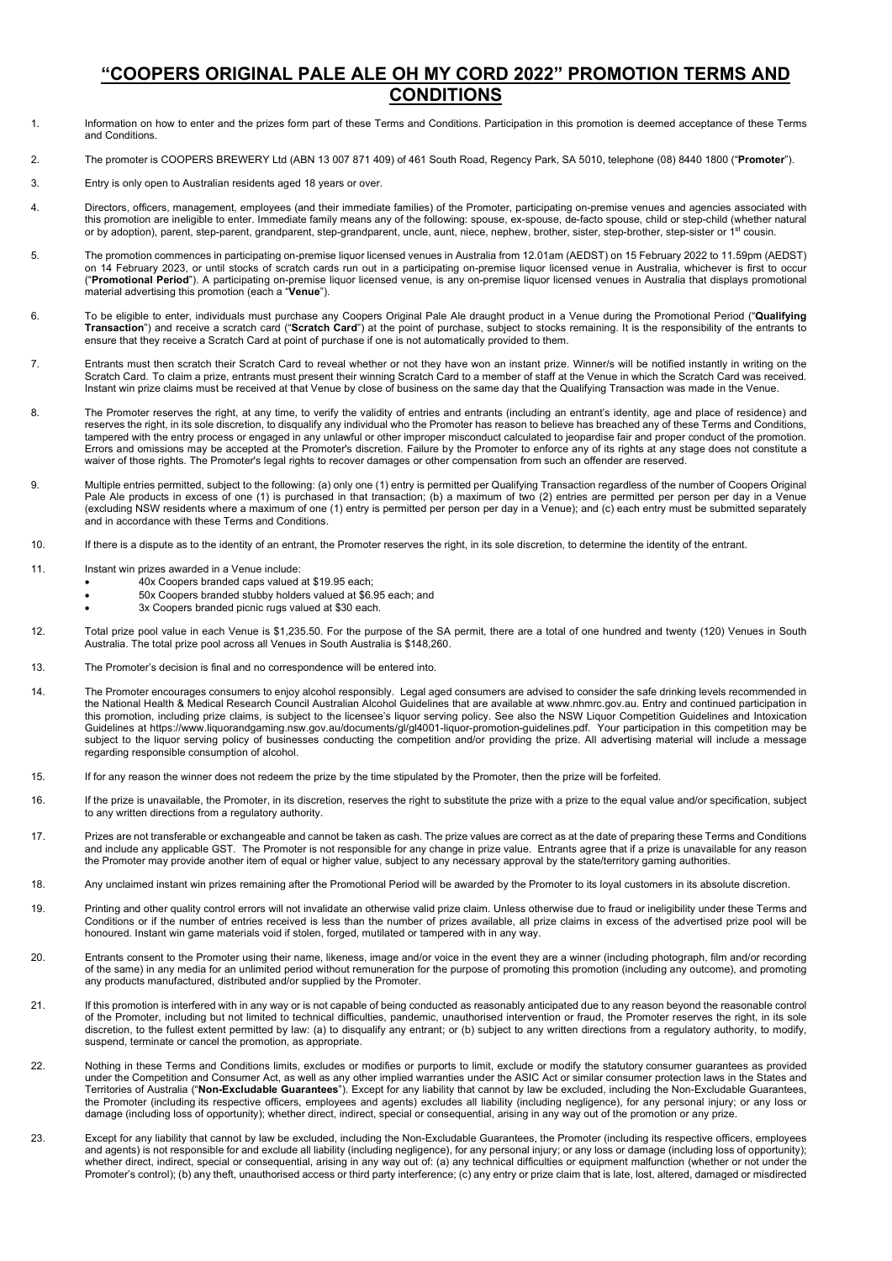## **"COOPERS ORIGINAL PALE ALE OH MY CORD 2022" PROMOTION TERMS AND CONDITIONS**

- 1. Information on how to enter and the prizes form part of these Terms and Conditions. Participation in this promotion is deemed acceptance of these Terms and Conditions.
- 2. The promoter is COOPERS BREWERY Ltd (ABN 13 007 871 409) of 461 South Road, Regency Park, SA 5010, telephone (08) 8440 1800 ("**Promoter**").
- 3. Entry is only open to Australian residents aged 18 years or over.
- 4. Directors, officers, management, employees (and their immediate families) of the Promoter, participating on-premise venues and agencies associated with this promotion are ineligible to enter. Immediate family means any of the following: spouse, ex-spouse, de-facto spouse, child or step-child (whether natural or by adoption), parent, step-parent, grandparent, step-grandparent, uncle, aunt, niece, nephew, brother, sister, step-brother, step-sister or 1st cousin.
- 5. The promotion commences in participating on-premise liquor licensed venues in Australia from 12.01am (AEDST) on 15 February 2022 to 11.59pm (AEDST) on 14 February 2023, or until stocks of scratch cards run out in a participating on-premise liquor licensed venue in Australia, whichever is first to occur ("**Promotional Period**"). A participating on-premise liquor licensed venue, is any on-premise liquor licensed venues in Australia that displays promotional material advertising this promotion (each a "**Venue**").
- 6. To be eligible to enter, individuals must purchase any Coopers Original Pale Ale draught product in a Venue during the Promotional Period ("**Qualifying Transaction**") and receive a scratch card ("**Scratch Card**") at the point of purchase, subject to stocks remaining. It is the responsibility of the entrants to<br>ensure that they receive a Scratch Card at point of purchase
- 7. Entrants must then scratch their Scratch Card to reveal whether or not they have won an instant prize. Winner/s will be notified instantly in writing on the Scratch Card. To claim a prize, entrants must present their winning Scratch Card to a member of staff at the Venue in which the Scratch Card was received. Instant win prize claims must be received at that Venue by close of business on the same day that the Qualifying Transaction was made in the Venue.
- 8. The Promoter reserves the right, at any time, to verify the validity of entries and entrants (including an entrant's identity, age and place of residence) and reserves the right, in its sole discretion, to disqualify any individual who the Promoter has reason to believe has breached any of these Terms and Conditions, tampered with the entry process or engaged in any unlawful or other improper misconduct calculated to jeopardise fair and proper conduct of the promotion. Errors and omissions may be accepted at the Promoter's discretion. Failure by the Promoter to enforce any of its rights at any stage does not constitute a waiver of those rights. The Promoter's legal rights to recover damages or other compensation from such an offender are reserved.
- 9. Multiple entries permitted, subject to the following: (a) only one (1) entry is permitted per Qualifying Transaction regardless of the number of Coopers Original Pale Ale products in excess of one (1) is purchased in that transaction; (b) a maximum of two (2) entries are permitted per person per day in a Venue (excluding NSW residents where a maximum of one (1) entry is permitted per person per day in a Venue); and (c) each entry must be submitted separately and in accordance with these Terms and Conditions.
- 10. If there is a dispute as to the identity of an entrant, the Promoter reserves the right, in its sole discretion, to determine the identity of the entrant.
- 11. Instant win prizes awarded in a Venue include:
	- 40x Coopers branded caps valued at \$19.95 each;
	- 50x Coopers branded stubby holders valued at \$6.95 each; and
	- 3x Coopers branded picnic rugs valued at \$30 each.
- 12. Total prize pool value in each Venue is \$1,235.50. For the purpose of the SA permit, there are a total of one hundred and twenty (120) Venues in South Australia. The total prize pool across all Venues in South Australia is \$148,260.
- 13. The Promoter's decision is final and no correspondence will be entered into.
- 14. The Promoter encourages consumers to enjoy alcohol responsibly. Legal aged consumers are advised to consider the safe drinking levels recommended in the National Health & Medical Research Council Australian Alcohol Guidelines that are available at www.nhmrc.gov.au. Entry and continued participation in this promotion, including prize claims, is subject to the licensee's liquor serving policy. See also the NSW Liquor Competition Guidelines and Intoxication Guidelines at [https://www.liquorandgaming.nsw.gov.au/documents/gl/gl4001-liquor-promotion-guidelines.pdf.](https://www.liquorandgaming.nsw.gov.au/documents/gl/gl4001-liquor-promotion-guidelines.pdfn) Your participation in this competition may be subject to the liquor serving policy of businesses conducting the competition and/or providing the prize. All advertising material will include a message regarding responsible consumption of alcohol.
- 15. If for any reason the winner does not redeem the prize by the time stipulated by the Promoter, then the prize will be forfeited.
- 16. If the prize is unavailable, the Promoter, in its discretion, reserves the right to substitute the prize with a prize to the equal value and/or specification, subject to any written directions from a regulatory authority.
- 17. Prizes are not transferable or exchangeable and cannot be taken as cash. The prize values are correct as at the date of preparing these Terms and Conditions and include any applicable GST. The Promoter is not responsible for any change in prize value. Entrants agree that if a prize is unavailable for any reason the Promoter may provide another item of equal or higher value, subject to any necessary approval by the state/territory gaming authorities.
- 18. Any unclaimed instant win prizes remaining after the Promotional Period will be awarded by the Promoter to its loyal customers in its absolute discretion.
- 19. Printing and other quality control errors will not invalidate an otherwise valid prize claim. Unless otherwise due to fraud or ineligibility under these Terms and Conditions or if the number of entries received is less than the number of prizes available, all prize claims in excess of the advertised prize pool will be honoured. Instant win game materials void if stolen, forged, mutilated or tampered with in any way.
- 20. Entrants consent to the Promoter using their name, likeness, image and/or voice in the event they are a winner (including photograph, film and/or recording of the same) in any media for an unlimited period without remuneration for the purpose of promoting this promotion (including any outcome), and promoting any products manufactured, distributed and/or supplied by the Promoter.
- 21. If this promotion is interfered with in any way or is not capable of being conducted as reasonably anticipated due to any reason beyond the reasonable control of the Promoter, including but not limited to technical difficulties, pandemic, unauthorised intervention or fraud, the Promoter reserves the right, in its sole discretion, to the fullest extent permitted by law: (a) to disqualify any entrant; or (b) subject to any written directions from a regulatory authority, to modify, suspend, terminate or cancel the promotion, as appropriate.
- 22. Nothing in these Terms and Conditions limits, excludes or modifies or purports to limit, exclude or modify the statutory consumer guarantees as provided under the Competition and Consumer Act, as well as any other implied warranties under the ASIC Act or similar consumer protection laws in the States and Territories of Australia ("**Non-Excludable Guarantees**"). Except for any liability that cannot by law be excluded, including the Non-Excludable Guarantees, the Promoter (including its respective officers, employees and agents) excludes all liability (including negligence), for any personal injury; or any loss or damage (including loss of opportunity); whether direct, indirect, special or consequential, arising in any way out of the promotion or any prize.
- 23. Except for any liability that cannot by law be excluded, including the Non-Excludable Guarantees, the Promoter (including its respective officers, employees and agents) is not responsible for and exclude all liability (including negligence), for any personal injury; or any loss or damage (including loss of opportunity); whether direct, indirect, special or consequential, arising in any way out of: (a) any technical difficulties or equipment malfunction (whether or not under the Promoter's control); (b) any theft, unauthorised access or third party interference; (c) any entry or prize claim that is late, lost, altered, damaged or misdirected